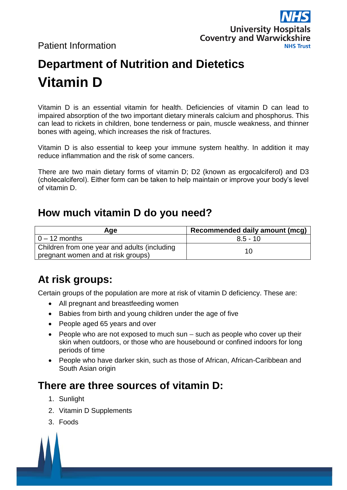Patient Information



# **Department of Nutrition and Dietetics Vitamin D**

Vitamin D is an essential vitamin for health. Deficiencies of vitamin D can lead to impaired absorption of the two important dietary minerals calcium and phosphorus. This can lead to rickets in children, bone tenderness or pain, muscle weakness, and thinner bones with ageing, which increases the risk of fractures.

Vitamin D is also essential to keep your immune system healthy. In addition it may reduce inflammation and the risk of some cancers.

There are two main dietary forms of vitamin D; D2 (known as ergocalciferol) and D3 (cholecalciferol). Either form can be taken to help maintain or improve your body's level of vitamin D.

#### **How much vitamin D do you need?**

| Age                                                                                | Recommended daily amount (mcg) |
|------------------------------------------------------------------------------------|--------------------------------|
| l 0 – 12 months                                                                    | $8.5 - 10$                     |
| Children from one year and adults (including<br>pregnant women and at risk groups) | 10                             |

# **At risk groups:**

Certain groups of the population are more at risk of vitamin D deficiency. These are:

- All pregnant and breastfeeding women
- Babies from birth and young children under the age of five
- People aged 65 years and over
- $\bullet$  People who are not exposed to much sun such as people who cover up their skin when outdoors, or those who are housebound or confined indoors for long periods of time
- People who have darker skin, such as those of African, African-Caribbean and South Asian origin

#### **There are three sources of vitamin D:**

- 1. Sunlight
- 2. Vitamin D Supplements
- 3. Foods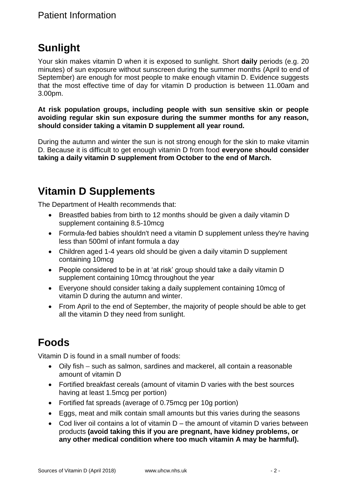# **Sunlight**

Your skin makes vitamin D when it is exposed to sunlight. Short **daily** periods (e.g. 20 minutes) of sun exposure without sunscreen during the summer months (April to end of September) are enough for most people to make enough vitamin D. Evidence suggests that the most effective time of day for vitamin D production is between 11.00am and 3.00pm.

**At risk population groups, including people with sun sensitive skin or people avoiding regular skin sun exposure during the summer months for any reason, should consider taking a vitamin D supplement all year round.** 

During the autumn and winter the sun is not strong enough for the skin to make vitamin D. Because it is difficult to get enough vitamin D from food **everyone should consider taking a daily vitamin D supplement from October to the end of March.**

## **Vitamin D Supplements**

The Department of Health recommends that:

- Breastfed babies from birth to 12 months should be given a daily vitamin D supplement containing 8.5-10mcg
- Formula-fed babies shouldn't need a vitamin D supplement unless they're having less than 500ml of infant formula a day
- Children aged 1-4 years old should be given a daily vitamin D supplement containing 10mcg
- People considered to be in at 'at risk' group should take a daily vitamin D supplement containing 10mcg throughout the year
- Everyone should consider taking a daily supplement containing 10mcg of vitamin D during the autumn and winter.
- From April to the end of September, the majority of people should be able to get all the vitamin D they need from sunlight.

# **Foods**

Vitamin D is found in a small number of foods:

- Oily fish such as salmon, sardines and mackerel, all contain a reasonable amount of vitamin D
- Fortified breakfast cereals (amount of vitamin D varies with the best sources having at least 1.5mcg per portion)
- Fortified fat spreads (average of 0.75mcg per 10g portion)
- Eggs, meat and milk contain small amounts but this varies during the seasons
- Cod liver oil contains a lot of vitamin D the amount of vitamin D varies between products **(avoid taking this if you are pregnant, have kidney problems, or any other medical condition where too much vitamin A may be harmful).**